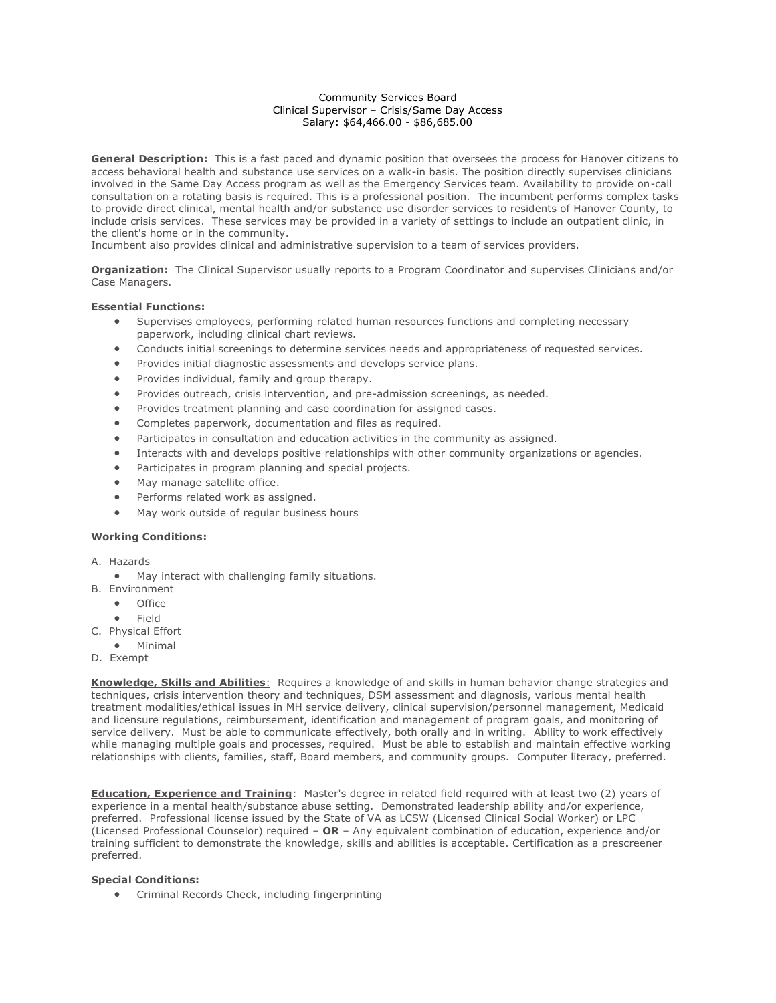## Community Services Board Clinical Supervisor – Crisis/Same Day Access Salary: \$64,466.00 - \$86,685.00

**General Description:** This is a fast paced and dynamic position that oversees the process for Hanover citizens to access behavioral health and substance use services on a walk-in basis. The position directly supervises clinicians involved in the Same Day Access program as well as the Emergency Services team. Availability to provide on-call consultation on a rotating basis is required. This is a professional position. The incumbent performs complex tasks to provide direct clinical, mental health and/or substance use disorder services to residents of Hanover County, to include crisis services. These services may be provided in a variety of settings to include an outpatient clinic, in the client's home or in the community.

Incumbent also provides clinical and administrative supervision to a team of services providers.

**Organization:** The Clinical Supervisor usually reports to a Program Coordinator and supervises Clinicians and/or Case Managers.

## **Essential Functions:**

- Supervises employees, performing related human resources functions and completing necessary paperwork, including clinical chart reviews.
- Conducts initial screenings to determine services needs and appropriateness of requested services.
- Provides initial diagnostic assessments and develops service plans.
- Provides individual, family and group therapy.
- Provides outreach, crisis intervention, and pre-admission screenings, as needed.
- Provides treatment planning and case coordination for assigned cases.
- Completes paperwork, documentation and files as required.
- Participates in consultation and education activities in the community as assigned.
- Interacts with and develops positive relationships with other community organizations or agencies.
- Participates in program planning and special projects.
- May manage satellite office.
- Performs related work as assigned.
- May work outside of regular business hours

## **Working Conditions:**

- A. Hazards
	- May interact with challenging family situations.
- B. Environment
	- Office
	- Field
- C. Physical Effort
- Minimal
- D. Exempt

**Knowledge, Skills and Abilities**: Requires a knowledge of and skills in human behavior change strategies and techniques, crisis intervention theory and techniques, DSM assessment and diagnosis, various mental health treatment modalities/ethical issues in MH service delivery, clinical supervision/personnel management, Medicaid and licensure regulations, reimbursement, identification and management of program goals, and monitoring of service delivery. Must be able to communicate effectively, both orally and in writing. Ability to work effectively while managing multiple goals and processes, required. Must be able to establish and maintain effective working relationships with clients, families, staff, Board members, and community groups. Computer literacy, preferred.

**Education, Experience and Training**: Master's degree in related field required with at least two (2) years of experience in a mental health/substance abuse setting. Demonstrated leadership ability and/or experience, preferred. Professional license issued by the State of VA as LCSW (Licensed Clinical Social Worker) or LPC (Licensed Professional Counselor) required – **OR** – Any equivalent combination of education, experience and/or training sufficient to demonstrate the knowledge, skills and abilities is acceptable. Certification as a prescreener preferred.

## **Special Conditions:**

• Criminal Records Check, including fingerprinting